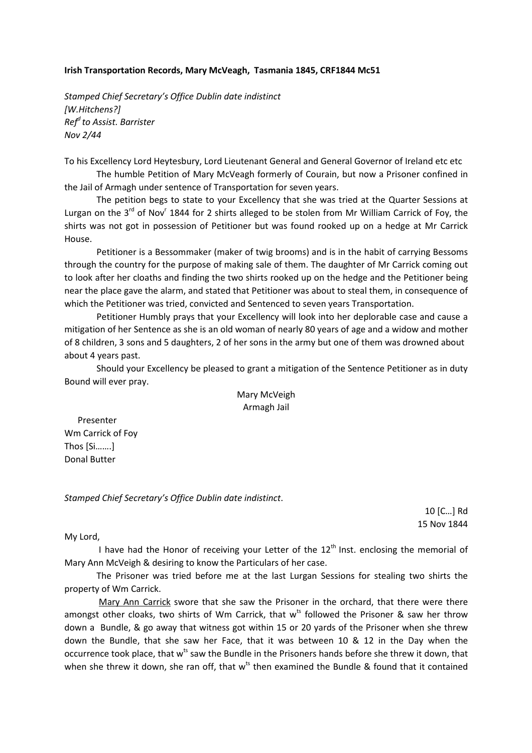## **Irish Transportation Records, Mary McVeagh, Tasmania 1845, CRF1844 Mc51**

*Stamped Chief Secretary's Office Dublin date indistinct [W.Hitchens?] Ref<sup>d</sup>to Assist. Barrister Nov 2/44* 

To his Excellency Lord Heytesbury, Lord Lieutenant General and General Governor of Ireland etc etc

The humble Petition of Mary McVeagh formerly of Courain, but now a Prisoner confined in the Jail of Armagh under sentence of Transportation for seven years.

 The petition begs to state to your Excellency that she was tried at the Quarter Sessions at Lurgan on the 3<sup>rd</sup> of Nov<sup>r</sup> 1844 for 2 shirts alleged to be stolen from Mr William Carrick of Foy, the shirts was not got in possession of Petitioner but was found rooked up on a hedge at Mr Carrick House.

Petitioner is a Bessommaker (maker of twig brooms) and is in the habit of carrying Bessoms through the country for the purpose of making sale of them. The daughter of Mr Carrick coming out to look after her cloaths and finding the two shirts rooked up on the hedge and the Petitioner being near the place gave the alarm, and stated that Petitioner was about to steal them, in consequence of which the Petitioner was tried, convicted and Sentenced to seven years Transportation.

Petitioner Humbly prays that your Excellency will look into her deplorable case and cause a mitigation of her Sentence as she is an old woman of nearly 80 years of age and a widow and mother of 8 children, 3 sons and 5 daughters, 2 of her sons in the army but one of them was drowned about about 4 years past.

Should your Excellency be pleased to grant a mitigation of the Sentence Petitioner as in duty Bound will ever pray.

## Mary McVeigh Armagh Jail

 Presenter Wm Carrick of Foy Thos [Si…….] Donal Butter

*Stamped Chief Secretary's Office Dublin date indistinct*.

10 [C…] Rd 15 Nov 1844

My Lord,

I have had the Honor of receiving your Letter of the  $12<sup>th</sup>$  Inst. enclosing the memorial of Mary Ann McVeigh & desiring to know the Particulars of her case.

The Prisoner was tried before me at the last Lurgan Sessions for stealing two shirts the property of Wm Carrick.

 Mary Ann Carrick swore that she saw the Prisoner in the orchard, that there were there amongst other cloaks, two shirts of Wm Carrick, that w<sup>ts</sup> followed the Prisoner & saw her throw down a Bundle, & go away that witness got within 15 or 20 yards of the Prisoner when she threw down the Bundle, that she saw her Face, that it was between 10 & 12 in the Day when the occurrence took place, that w<sup>ts</sup> saw the Bundle in the Prisoners hands before she threw it down, that when she threw it down, she ran off, that  $w^{ts}$  then examined the Bundle & found that it contained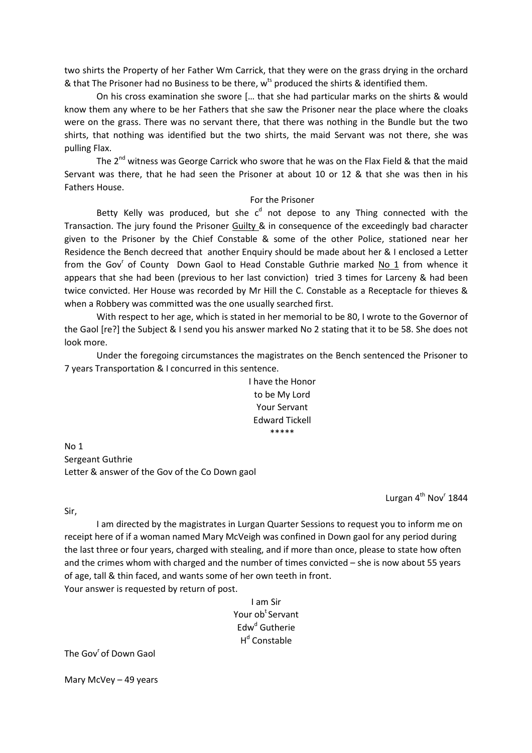two shirts the Property of her Father Wm Carrick, that they were on the grass drying in the orchard & that The Prisoner had no Business to be there,  $w^{ts}$  produced the shirts & identified them.

On his cross examination she swore [… that she had particular marks on the shirts & would know them any where to be her Fathers that she saw the Prisoner near the place where the cloaks were on the grass. There was no servant there, that there was nothing in the Bundle but the two shirts, that nothing was identified but the two shirts, the maid Servant was not there, she was pulling Flax.

The  $2^{nd}$  witness was George Carrick who swore that he was on the Flax Field & that the maid Servant was there, that he had seen the Prisoner at about 10 or 12 & that she was then in his Fathers House.

## For the Prisoner

Betty Kelly was produced, but she  $c<sup>d</sup>$  not depose to any Thing connected with the Transaction. The jury found the Prisoner Guilty & in consequence of the exceedingly bad character given to the Prisoner by the Chief Constable & some of the other Police, stationed near her Residence the Bench decreed that another Enquiry should be made about her & I enclosed a Letter from the Gov<sup>r</sup> of County Down Gaol to Head Constable Guthrie marked No 1 from whence it appears that she had been (previous to her last conviction) tried 3 times for Larceny & had been twice convicted. Her House was recorded by Mr Hill the C. Constable as a Receptacle for thieves & when a Robbery was committed was the one usually searched first.

With respect to her age, which is stated in her memorial to be 80, I wrote to the Governor of the Gaol [re?] the Subject & I send you his answer marked No 2 stating that it to be 58. She does not look more.

Under the foregoing circumstances the magistrates on the Bench sentenced the Prisoner to 7 years Transportation & I concurred in this sentence.

> I have the Honor to be My Lord Your Servant Edward Tickell \*\*\*\*\*

No 1 Sergeant Guthrie Letter & answer of the Gov of the Co Down gaol

Lurgan 4<sup>th</sup> Nov<sup>r</sup> 1844

Sir,

I am directed by the magistrates in Lurgan Quarter Sessions to request you to inform me on receipt here of if a woman named Mary McVeigh was confined in Down gaol for any period during the last three or four years, charged with stealing, and if more than once, please to state how often and the crimes whom with charged and the number of times convicted – she is now about 55 years of age, tall & thin faced, and wants some of her own teeth in front. Your answer is requested by return of post.

> I am Sir Your ob<sup>t</sup> Servant Edw<sup>d</sup> Gutherie H<sup>d</sup> Constable

The Gov<sup>r</sup> of Down Gaol

Mary McVey – 49 years